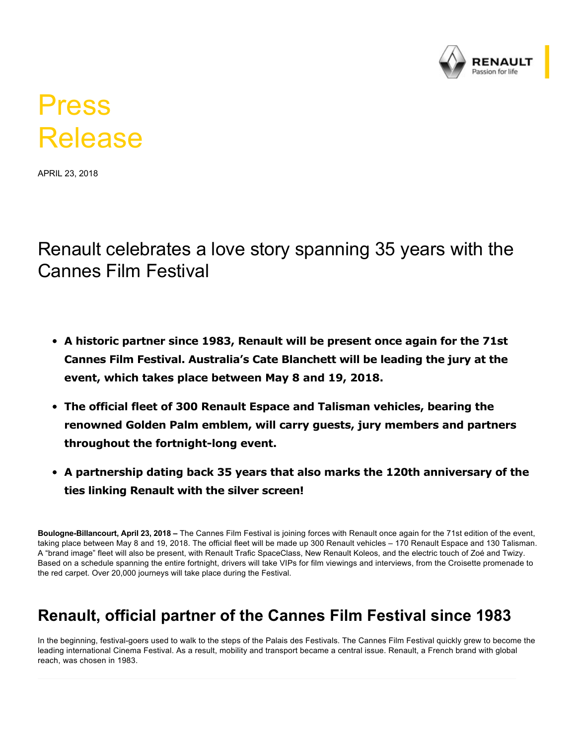

# Press Release

APRIL 23, 2018

Renault celebrates a love story spanning 35 years with the Cannes Film Festival

- **A historic partner since 1983, Renault will be present once again for the 71st Cannes Film Festival. Australia's Cate Blanchett will be leading the jury at the event, which takes place between May 8 and 19, 2018.**
- **The official fleet of 300 Renault Espace and Talisman vehicles, bearing the renowned Golden Palm emblem, will carry guests, jury members and partners throughout the fortnight-long event.**
- **A partnership dating back 35 years that also marks the 120th anniversary of the ties linking Renault with the silver screen!**

Boulogne-Billancourt, April 23, 2018 – The Cannes Film Festival is joining forces with Renault once again for the 71st edition of the event, taking place between May 8 and 19, 2018. The official fleet will be made up 300 Renault vehicles – 170 Renault Espace and 130 Talisman. A "brand image" fleet will also be present, with Renault Trafic SpaceClass, New Renault Koleos, and the electric touch of Zoé and Twizy. Based on a schedule spanning the entire fortnight, drivers will take VIPs for film viewings and interviews, from the Croisette promenade to the red carpet. Over 20,000 journeys will take place during the Festival.

### **Renault, official partner of the Cannes Film Festival since 1983**

In the beginning, festival-goers used to walk to the steps of the Palais des Festivals. The Cannes Film Festival quickly grew to become the leading international Cinema Festival. As a result, mobility and transport became a central issue. Renault, a French brand with global reach, was chosen in 1983.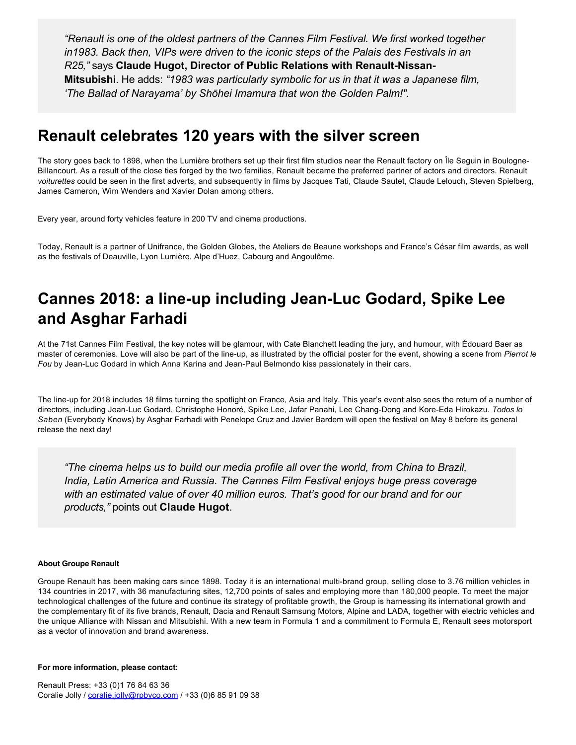*"Renault is one of the oldest partners of the Cannes Film Festival. We first worked together in1983. Back then, VIPs were driven to the iconic steps of the Palais des Festivals in an R25,"* **says Claude Hugot, Director of Public Relations with Renault-Nissan-Mitsubishi**. He adds: *"1983 was particularly symbolic for us in that it was a Japanese film, 'The Ballad of Narayama' by Shōhei Imamura that won the Golden Palm!".*

### **Renault celebrates 120 years with the silver screen**

The story goes back to 1898, when the Lumière brothers set up their first film studios near the Renault factory on Île Seguin in Boulogne-Billancourt. As a result of the close ties forged by the two families, Renault became the preferred partner of actors and directors. Renault *voiturettes* could be seen in the first adverts, and subsequently in films by Jacques Tati, Claude Sautet, Claude Lelouch, Steven Spielberg, James Cameron, Wim Wenders and Xavier Dolan among others.

Every year, around forty vehicles feature in 200 TV and cinema productions.

Today, Renault is a partner of Unifrance, the Golden Globes, the Ateliers de Beaune workshops and France's César film awards, as well as the festivals of Deauville, Lyon Lumière, Alpe d'Huez, Cabourg and Angoulême.

## **Cannes 2018: a line-up including Jean-Luc Godard, Spike Lee and Asghar Farhadi**

At the 71st Cannes Film Festival, the key notes will be glamour, with Cate Blanchett leading the jury, and humour, with Édouard Baer as master of ceremonies. Love will also be part of the line-up, as illustrated by the official poster for the event, showing a scene from Pierrot le *Fou* by Jean-Luc Godard in which Anna Karina and Jean-Paul Belmondo kiss passionately in their cars.

The line-up for 2018 includes 18 films turning the spotlight on France, Asia and Italy. This year's event also sees the return of a number of directors, including Jean-Luc Godard, Christophe Honoré, Spike Lee, Jafar Panahi, Lee Chang-Dong and Kore-Eda Hirokazu. Todos lo *Saben* (Everybody Knows) by Asghar Farhadi with Penelope Cruz and Javier Bardem will open the festival on May 8 before its general release the next day!

*"The cinema helps us to build our media profile all over the world, from China to Brazil, India, Latin America and Russia. The Cannes Film Festival enjoys huge press coverage with an estimated value of over 40 million euros. That's good for our brand and for our products,"* points out **Claude Hugot**.

#### **About Groupe Renault**

Groupe Renault has been making cars since 1898. Today it is an international multi-brand group, selling close to 3.76 million vehicles in 134 countries in 2017, with 36 manufacturing sites, 12,700 points of sales and employing more than 180,000 people. To meet the major technological challenges of the future and continue its strategy of profitable growth, the Group is harnessing its international growth and the complementary fit of its five brands, Renault, Dacia and Renault Samsung Motors, Alpine and LADA, together with electric vehicles and the unique Alliance with Nissan and Mitsubishi. With a new team in Formula 1 and a commitment to Formula E, Renault sees motorsport as a vector of innovation and brand awareness.

#### **For more information, please contact:**

Renault Press: +33 (0)1 76 84 63 36 Coralie Jolly / [coralie.jolly@rpbyco.com](mailto:coralie.jolly@rpbyco.com) / +33 (0)6 85 91 09 38